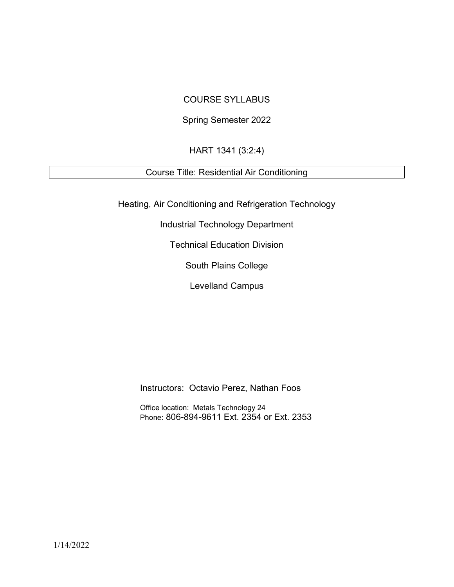# COURSE SYLLABUS

# Spring Semester 2022

# HART 1341 (3:2:4)

# Course Title: Residential Air Conditioning

Heating, Air Conditioning and Refrigeration Technology

Industrial Technology Department

Technical Education Division

South Plains College

Levelland Campus

Instructors: Octavio Perez, Nathan Foos

Office location: Metals Technology 24 Phone: 806-894-9611 Ext. 2354 or Ext. 2353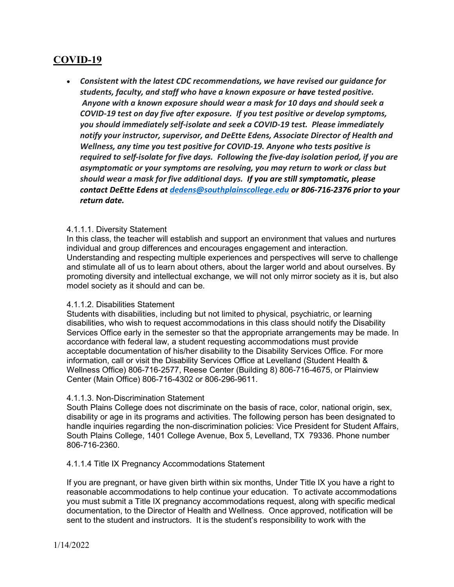# COVID-19

 Consistent with the latest CDC recommendations, we have revised our guidance for students, faculty, and staff who have a known exposure or have tested positive. Anyone with a known exposure should wear a mask for 10 days and should seek a COVID-19 test on day five after exposure. If you test positive or develop symptoms, you should immediately self-isolate and seek a COVID-19 test. Please immediately notify your instructor, supervisor, and DeEtte Edens, Associate Director of Health and Wellness, any time you test positive for COVID-19. Anyone who tests positive is required to self-isolate for five days. Following the five-day isolation period, if you are asymptomatic or your symptoms are resolving, you may return to work or class but should wear a mask for five additional days. If you are still symptomatic, please contact DeEtte Edens at dedens@southplainscollege.edu or 806-716-2376 prior to your return date.

### 4.1.1.1. Diversity Statement

In this class, the teacher will establish and support an environment that values and nurtures individual and group differences and encourages engagement and interaction. Understanding and respecting multiple experiences and perspectives will serve to challenge and stimulate all of us to learn about others, about the larger world and about ourselves. By promoting diversity and intellectual exchange, we will not only mirror society as it is, but also model society as it should and can be.

### 4.1.1.2. Disabilities Statement

Students with disabilities, including but not limited to physical, psychiatric, or learning disabilities, who wish to request accommodations in this class should notify the Disability Services Office early in the semester so that the appropriate arrangements may be made. In accordance with federal law, a student requesting accommodations must provide acceptable documentation of his/her disability to the Disability Services Office. For more information, call or visit the Disability Services Office at Levelland (Student Health & Wellness Office) 806-716-2577, Reese Center (Building 8) 806-716-4675, or Plainview Center (Main Office) 806-716-4302 or 806-296-9611.

### 4.1.1.3. Non-Discrimination Statement

South Plains College does not discriminate on the basis of race, color, national origin, sex, disability or age in its programs and activities. The following person has been designated to handle inquiries regarding the non-discrimination policies: Vice President for Student Affairs, South Plains College, 1401 College Avenue, Box 5, Levelland, TX 79336. Phone number 806-716-2360.

### 4.1.1.4 Title IX Pregnancy Accommodations Statement

If you are pregnant, or have given birth within six months, Under Title IX you have a right to reasonable accommodations to help continue your education. To activate accommodations you must submit a Title IX pregnancy accommodations request, along with specific medical documentation, to the Director of Health and Wellness. Once approved, notification will be sent to the student and instructors. It is the student's responsibility to work with the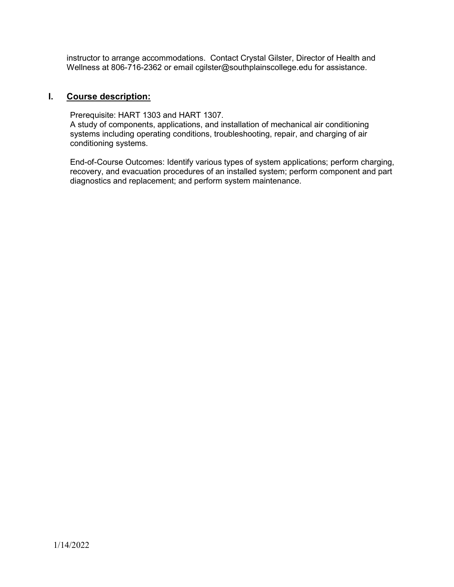instructor to arrange accommodations. Contact Crystal Gilster, Director of Health and Wellness at 806-716-2362 or email cgilster@southplainscollege.edu for assistance.

## I. Course description:

Prerequisite: HART 1303 and HART 1307. A study of components, applications, and installation of mechanical air conditioning systems including operating conditions, troubleshooting, repair, and charging of air conditioning systems.

End-of-Course Outcomes: Identify various types of system applications; perform charging, recovery, and evacuation procedures of an installed system; perform component and part diagnostics and replacement; and perform system maintenance.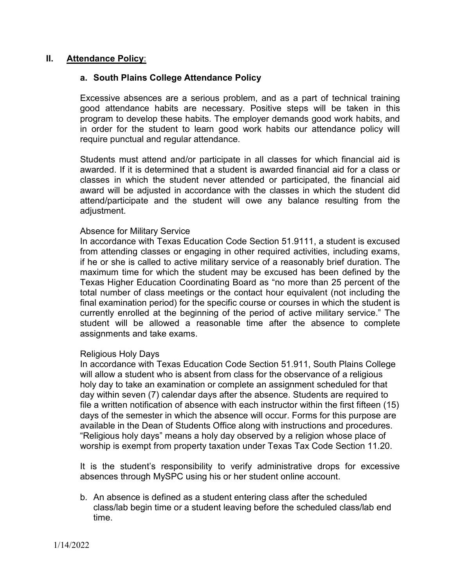## II. Attendance Policy:

## a. South Plains College Attendance Policy

Excessive absences are a serious problem, and as a part of technical training good attendance habits are necessary. Positive steps will be taken in this program to develop these habits. The employer demands good work habits, and in order for the student to learn good work habits our attendance policy will require punctual and regular attendance.

Students must attend and/or participate in all classes for which financial aid is awarded. If it is determined that a student is awarded financial aid for a class or classes in which the student never attended or participated, the financial aid award will be adjusted in accordance with the classes in which the student did attend/participate and the student will owe any balance resulting from the adjustment.

### Absence for Military Service

In accordance with Texas Education Code Section 51.9111, a student is excused from attending classes or engaging in other required activities, including exams, if he or she is called to active military service of a reasonably brief duration. The maximum time for which the student may be excused has been defined by the Texas Higher Education Coordinating Board as "no more than 25 percent of the total number of class meetings or the contact hour equivalent (not including the final examination period) for the specific course or courses in which the student is currently enrolled at the beginning of the period of active military service." The student will be allowed a reasonable time after the absence to complete assignments and take exams.

### Religious Holy Days

In accordance with Texas Education Code Section 51.911, South Plains College will allow a student who is absent from class for the observance of a religious holy day to take an examination or complete an assignment scheduled for that day within seven (7) calendar days after the absence. Students are required to file a written notification of absence with each instructor within the first fifteen (15) days of the semester in which the absence will occur. Forms for this purpose are available in the Dean of Students Office along with instructions and procedures. "Religious holy days" means a holy day observed by a religion whose place of worship is exempt from property taxation under Texas Tax Code Section 11.20.

It is the student's responsibility to verify administrative drops for excessive absences through MySPC using his or her student online account.

b. An absence is defined as a student entering class after the scheduled class/lab begin time or a student leaving before the scheduled class/lab end time.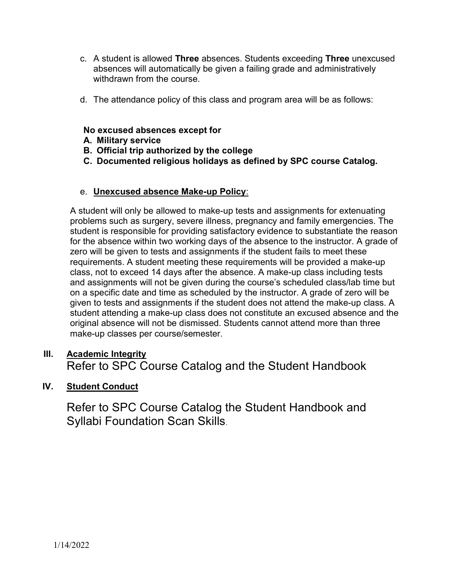- c. A student is allowed Three absences. Students exceeding Three unexcused absences will automatically be given a failing grade and administratively withdrawn from the course.
- d. The attendance policy of this class and program area will be as follows:

# No excused absences except for

- A. Military service
- B. Official trip authorized by the college
- C. Documented religious holidays as defined by SPC course Catalog.

# e. Unexcused absence Make-up Policy:

A student will only be allowed to make-up tests and assignments for extenuating problems such as surgery, severe illness, pregnancy and family emergencies. The student is responsible for providing satisfactory evidence to substantiate the reason for the absence within two working days of the absence to the instructor. A grade of zero will be given to tests and assignments if the student fails to meet these requirements. A student meeting these requirements will be provided a make-up class, not to exceed 14 days after the absence. A make-up class including tests and assignments will not be given during the course's scheduled class/lab time but on a specific date and time as scheduled by the instructor. A grade of zero will be given to tests and assignments if the student does not attend the make-up class. A student attending a make-up class does not constitute an excused absence and the original absence will not be dismissed. Students cannot attend more than three make-up classes per course/semester.

# III. Academic Integrity Refer to SPC Course Catalog and the Student Handbook

# IV. Student Conduct

Refer to SPC Course Catalog the Student Handbook and Syllabi Foundation Scan Skills.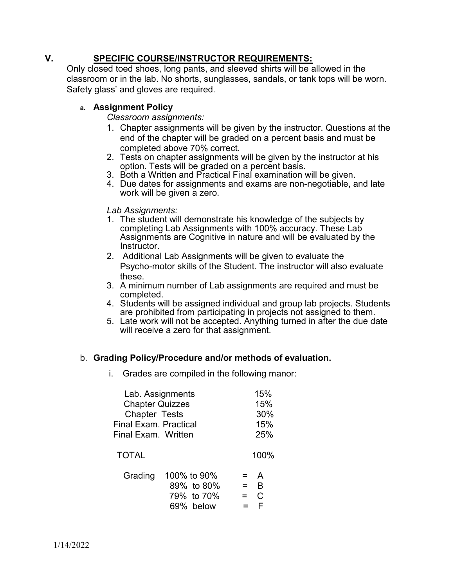# V. SPECIFIC COURSE/INSTRUCTOR REQUIREMENTS:

Only closed toed shoes, long pants, and sleeved shirts will be allowed in the classroom or in the lab. No shorts, sunglasses, sandals, or tank tops will be worn. Safety glass' and gloves are required.

# a. Assignment Policy

Classroom assignments:

- 1. Chapter assignments will be given by the instructor. Questions at the end of the chapter will be graded on a percent basis and must be completed above 70% correct.
- 2. Tests on chapter assignments will be given by the instructor at his option. Tests will be graded on a percent basis.
- 3. Both a Written and Practical Final examination will be given.
- 4. Due dates for assignments and exams are non-negotiable, and late work will be given a zero.

Lab Assignments:

- 1. The student will demonstrate his knowledge of the subjects by completing Lab Assignments with 100% accuracy. These Lab Assignments are Cognitive in nature and will be evaluated by the Instructor.
- 2. Additional Lab Assignments will be given to evaluate the Psycho-motor skills of the Student. The instructor will also evaluate these.
- 3. A minimum number of Lab assignments are required and must be completed.
- 4. Students will be assigned individual and group lab projects. Students are prohibited from participating in projects not assigned to them.
- 5. Late work will not be accepted. Anything turned in after the due date will receive a zero for that assignment.

# b. Grading Policy/Procedure and/or methods of evaluation.

i. Grades are compiled in the following manor:

| Lab. Assignments<br><b>Chapter Quizzes</b><br><b>Chapter Tests</b><br><b>Final Exam. Practical</b><br>Final Exam. Written | 15%<br>15%<br>30%<br>15%<br>25%                            |
|---------------------------------------------------------------------------------------------------------------------------|------------------------------------------------------------|
| <b>TOTAL</b>                                                                                                              | 100%                                                       |
| 100% to 90%<br>Grading<br>89% to 80%<br>79% to 70%<br>69% below                                                           | $=$ A<br>$=$ $\overline{B}$<br>$= C$<br>$=$ $\overline{ }$ |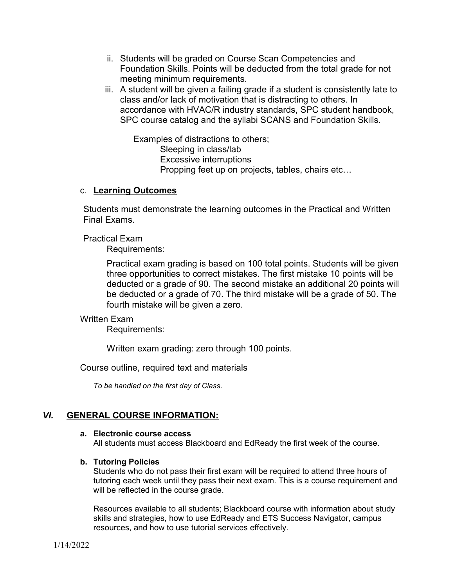- ii. Students will be graded on Course Scan Competencies and Foundation Skills. Points will be deducted from the total grade for not meeting minimum requirements.
- iii. A student will be given a failing grade if a student is consistently late to class and/or lack of motivation that is distracting to others. In accordance with HVAC/R industry standards, SPC student handbook, SPC course catalog and the syllabi SCANS and Foundation Skills.

 Examples of distractions to others; Sleeping in class/lab Excessive interruptions Propping feet up on projects, tables, chairs etc…

## c. Learning Outcomes

Students must demonstrate the learning outcomes in the Practical and Written Final Exams.

Practical Exam

Requirements:

Practical exam grading is based on 100 total points. Students will be given three opportunities to correct mistakes. The first mistake 10 points will be deducted or a grade of 90. The second mistake an additional 20 points will be deducted or a grade of 70. The third mistake will be a grade of 50. The fourth mistake will be given a zero.

### Written Exam

Requirements:

Written exam grading: zero through 100 points.

Course outline, required text and materials

To be handled on the first day of Class.

# VI. GENERAL COURSE INFORMATION:

### a. Electronic course access

All students must access Blackboard and EdReady the first week of the course.

### b. Tutoring Policies

Students who do not pass their first exam will be required to attend three hours of tutoring each week until they pass their next exam. This is a course requirement and will be reflected in the course grade.

Resources available to all students; Blackboard course with information about study skills and strategies, how to use EdReady and ETS Success Navigator, campus resources, and how to use tutorial services effectively.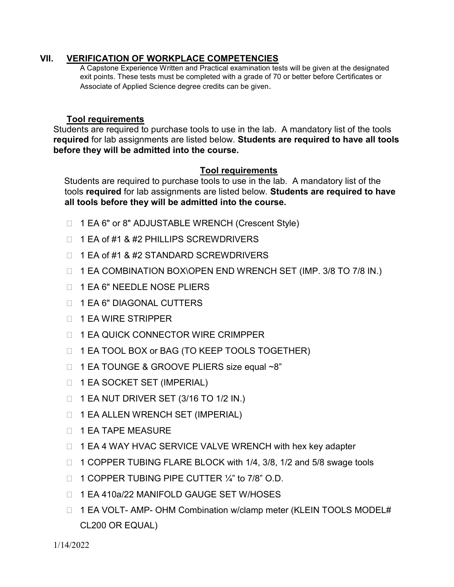## VII. VERIFICATION OF WORKPLACE COMPETENCIES

A Capstone Experience Written and Practical examination tests will be given at the designated exit points. These tests must be completed with a grade of 70 or better before Certificates or Associate of Applied Science degree credits can be given.

## Tool requirements

Students are required to purchase tools to use in the lab. A mandatory list of the tools required for lab assignments are listed below. Students are required to have all tools before they will be admitted into the course.

## Tool requirements

Students are required to purchase tools to use in the lab. A mandatory list of the tools required for lab assignments are listed below. Students are required to have all tools before they will be admitted into the course.

- □ 1 EA 6" or 8" ADJUSTABLE WRENCH (Crescent Style)
- $\Box$  1 EA of #1 & #2 PHILLIPS SCREWDRIVERS
- □ 1 EA of #1 & #2 STANDARD SCREWDRIVERS
- □ 1 EA COMBINATION BOX\OPEN END WRENCH SET (IMP. 3/8 TO 7/8 IN.)
- □ 1 EA 6" NEEDLE NOSE PLIERS
- □ 1 EA 6" DIAGONAL CUTTERS
- □ 1 EA WIRE STRIPPER
- **1 EA QUICK CONNECTOR WIRE CRIMPPER**
- □ 1 EA TOOL BOX or BAG (TO KEEP TOOLS TOGETHER)
- □ 1 EA TOUNGE & GROOVE PLIERS size equal ~8"
- □ 1 EA SOCKET SET (IMPERIAL)
- □ 1 EA NUT DRIVER SET (3/16 TO 1/2 IN.)
- □ 1 EA ALLEN WRENCH SET (IMPERIAL)
- $\Box$  1 EA TAPE MEASURE
- □ 1 EA 4 WAY HVAC SERVICE VALVE WRENCH with hex key adapter
- □ 1 COPPER TUBING FLARE BLOCK with 1/4, 3/8, 1/2 and 5/8 swage tools
- $\Box$  1 COPPER TUBING PIPE CUTTER  $\frac{1}{4}$  to 7/8" O.D.
- □ 1 EA 410a/22 MANIFOLD GAUGE SET W/HOSES
- □ 1 EA VOLT- AMP- OHM Combination w/clamp meter (KLEIN TOOLS MODEL# CL200 OR EQUAL)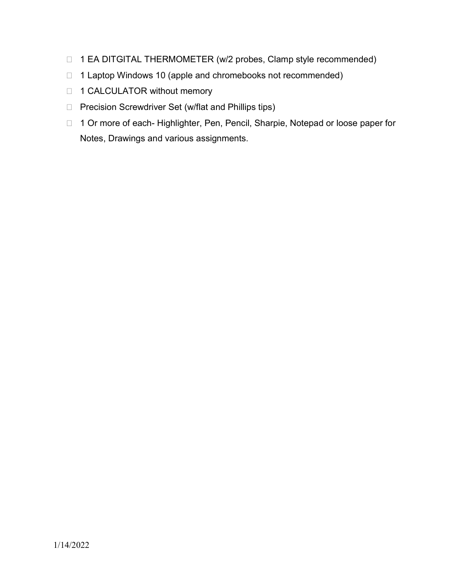- □ 1 EA DITGITAL THERMOMETER (w/2 probes, Clamp style recommended)
- □ 1 Laptop Windows 10 (apple and chromebooks not recommended)
- □ 1 CALCULATOR without memory
- □ Precision Screwdriver Set (w/flat and Phillips tips)
- □ 1 Or more of each- Highlighter, Pen, Pencil, Sharpie, Notepad or loose paper for Notes, Drawings and various assignments.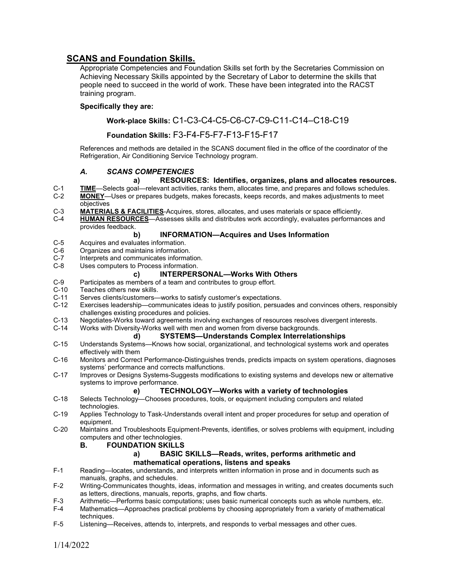## SCANS and Foundation Skills.

Appropriate Competencies and Foundation Skills set forth by the Secretaries Commission on Achieving Necessary Skills appointed by the Secretary of Labor to determine the skills that people need to succeed in the world of work. These have been integrated into the RACST training program.

#### Specifically they are:

### Work-place Skills: C1-C3-C4-C5-C6-C7-C9-C11-C14–C18-C19

### Foundation Skills: F3-F4-F5-F7-F13-F15-F17

References and methods are detailed in the SCANS document filed in the office of the coordinator of the Refrigeration, Air Conditioning Service Technology program.

#### A. SCANS COMPETENCIES

#### a) RESOURCES: Identifies, organizes, plans and allocates resources.

- C-1 TIME—Selects goal—relevant activities, ranks them, allocates time, and prepares and follows schedules.<br>C-2 MONEY—Uses or prepares budgets, makes forecasts, keeps records, and makes adiustments to meet MONEY—Uses or prepares budgets, makes forecasts, keeps records, and makes adjustments to meet objectives
- C-3 MATERIALS & FACILITIES-Acquires, stores, allocates, and uses materials or space efficiently.
- C-4 HUMAN RESOURCES—Assesses skills and distributes work accordingly, evaluates performances and provides feedback.

#### b) INFORMATION—Acquires and Uses Information

- C-5 Acquires and evaluates information.<br>C-6 Organizes and maintains information
- C-6 Organizes and maintains information.<br>C-7 Interprets and communicates informat
- C-7 Interprets and communicates information.<br>C-8 Uses computers to Process information.
- Uses computers to Process information.

#### c) INTERPERSONAL—Works With Others

- C-9 Participates as members of a team and contributes to group effort.<br>C-10 Teaches others new skills.
- C-10 Teaches others new skills.<br>C-11 Serves clients/customers-
- C-11 Serves clients/customers—works to satisfy customer's expectations.<br>C-12 Exercises leadership—communicates ideas to iustify position, persual
- Exercises leadership—communicates ideas to justify position, persuades and convinces others, responsibly challenges existing procedures and policies.
- C-13 Negotiates-Works toward agreements involving exchanges of resources resolves divergent interests.
- C-14 Works with Diversity-Works well with men and women from diverse backgrounds.

#### d) SYSTEMS—Understands Complex Interrelationships

- C-15 Understands Systems—Knows how social, organizational, and technological systems work and operates effectively with them
- C-16 Monitors and Correct Performance-Distinguishes trends, predicts impacts on system operations, diagnoses systems' performance and corrects malfunctions.
- C-17 Improves or Designs Systems-Suggests modifications to existing systems and develops new or alternative systems to improve performance.

#### e) TECHNOLOGY—Works with a variety of technologies

- C-18 Selects Technology—Chooses procedures, tools, or equipment including computers and related technologies.
- C-19 Applies Technology to Task-Understands overall intent and proper procedures for setup and operation of equipment.
- C-20 Maintains and Troubleshoots Equipment-Prevents, identifies, or solves problems with equipment, including computers and other technologies.

#### B. FOUNDATION SKILLS

#### a) BASIC SKILLS—Reads, writes, performs arithmetic and mathematical operations, listens and speaks

- F-1 Reading—locates, understands, and interprets written information in prose and in documents such as manuals, graphs, and schedules.
- F-2 Writing-Communicates thoughts, ideas, information and messages in writing, and creates documents such as letters, directions, manuals, reports, graphs, and flow charts.
- F-3 Arithmetic—Performs basic computations; uses basic numerical concepts such as whole numbers, etc.<br>F-4 Mathematics—Approaches practical problems by choosing appropriately from a variety of mathematical
- Mathematics—Approaches practical problems by choosing appropriately from a variety of mathematical techniques.
- F-5 Listening—Receives, attends to, interprets, and responds to verbal messages and other cues.

1/14/2022